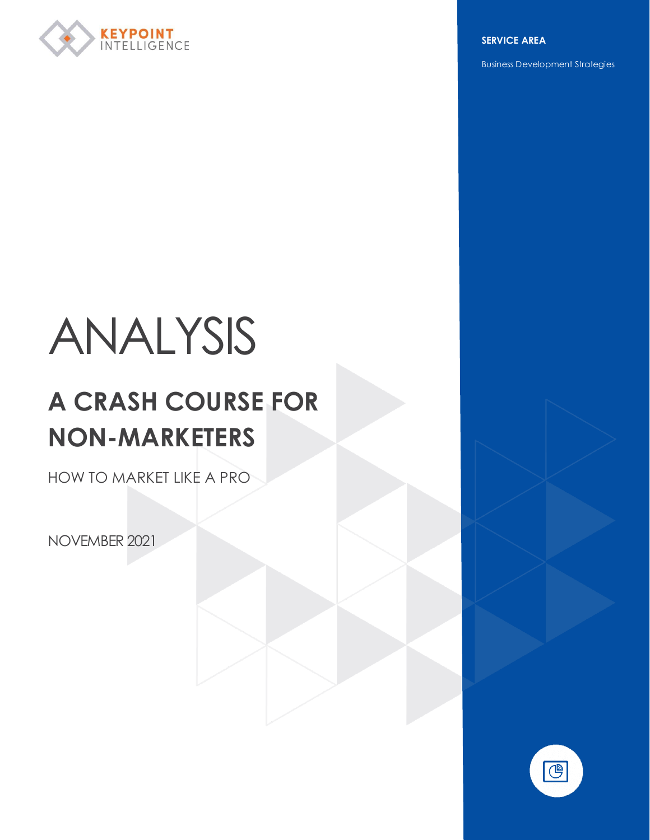

**SERVICE AREA**

Business Development Strategies

# ANALYSIS

## **A CRASH COURSE FOR NON-MARKETERS**

HOW TO MARKET LIKE A PRO

NOVEMBER 2021

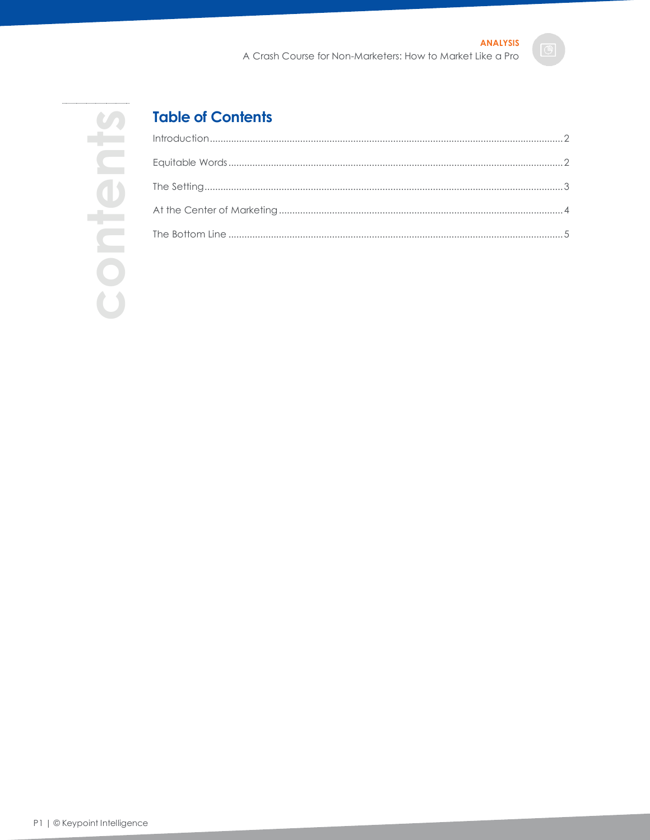

### **Table of Contents**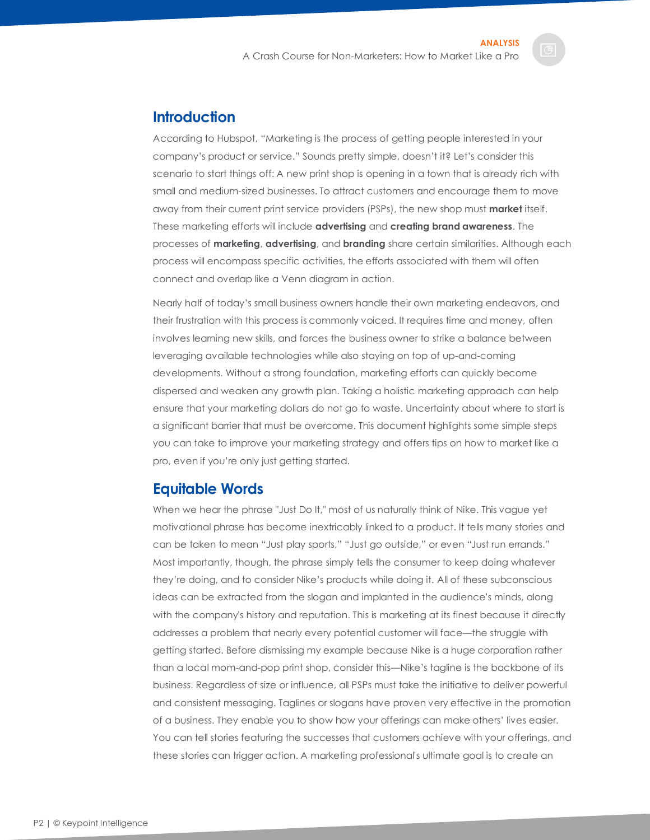#### <span id="page-2-0"></span>**Introduction**

According to Hubspot, "Marketing is the process of getting people interested in your company's product or service." Sounds pretty simple, doesn't it? Let's consider this scenario to start things off: A new print shop is opening in a town that is already rich with small and medium-sized businesses. To attract customers and encourage them to move away from their current print service providers (PSPs), the new shop must **market** itself. These marketing efforts will include **advertising** and **creating brand awareness**. The processes of **marketing**, **advertising**, and **branding** share certain similarities. Although each process will encompass specific activities, the efforts associated with them will often connect and overlap like a Venn diagram in action.

Nearly half of today's small business owners handle their own marketing endeavors, and their frustration with this process is commonly voiced. It requires time and money, often involves learning new skills, and forces the business owner to strike a balance between leveraging available technologies while also staying on top of up-and-coming developments. Without a strong foundation, marketing efforts can quickly become dispersed and weaken any growth plan. Taking a holistic marketing approach can help ensure that your marketing dollars do not go to waste. Uncertainty about where to start is a significant barrier that must be overcome. This document highlights some simple steps you can take to improve your marketing strategy and offers tips on how to market like a pro, even if you're only just getting started.

#### <span id="page-2-1"></span>**Equitable Words**

When we hear the phrase "Just Do It," most of us naturally think of Nike. This vague yet motivational phrase has become inextricably linked to a product. It tells many stories and can be taken to mean "Just play sports," "Just go outside," or even "Just run errands." Most importantly, though, the phrase simply tells the consumer to keep doing whatever they're doing, and to consider Nike's products while doing it. All of these subconscious ideas can be extracted from the slogan and implanted in the audience's minds, along with the company's history and reputation. This is marketing at its finest because it directly addresses a problem that nearly every potential customer will face—the struggle with getting started. Before dismissing my example because Nike is a huge corporation rather than a local mom-and-pop print shop, consider this—Nike's tagline is the backbone of its business. Regardless of size or influence, all PSPs must take the initiative to deliver powerful and consistent messaging. Taglines or slogans have proven very effective in the promotion of a business. They enable you to show how your offerings can make others' lives easier. You can tell stories featuring the successes that customers achieve with your offerings, and these stories can trigger action. A marketing professional's ultimate goal is to create an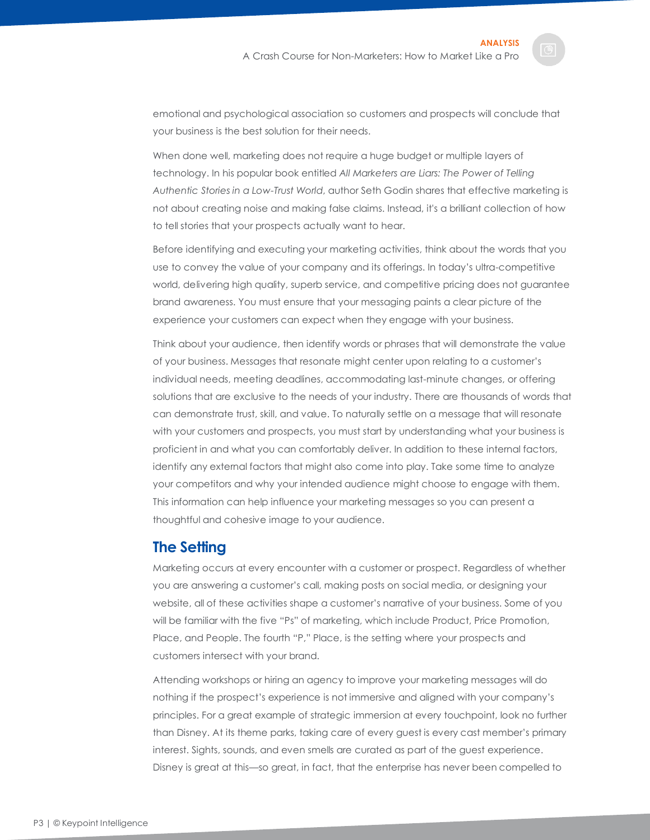emotional and psychological association so customers and prospects will conclude that your business is the best solution for their needs.

When done well, marketing does not require a huge budget or multiple layers of technology. In his popular book entitled *All Marketers are Liars: The Power of Telling Authentic Stories in a Low-Trust World*, author Seth Godin shares that effective marketing is not about creating noise and making false claims. Instead, it's a brilliant collection of how to tell stories that your prospects actually want to hear.

Before identifying and executing your marketing activities, think about the words that you use to convey the value of your company and its offerings. In today's ultra-competitive world, delivering high quality, superb service, and competitive pricing does not guarantee brand awareness. You must ensure that your messaging paints a clear picture of the experience your customers can expect when they engage with your business.

Think about your audience, then identify words or phrases that will demonstrate the value of your business. Messages that resonate might center upon relating to a customer's individual needs, meeting deadlines, accommodating last-minute changes, or offering solutions that are exclusive to the needs of your industry. There are thousands of words that can demonstrate trust, skill, and value. To naturally settle on a message that will resonate with your customers and prospects, you must start by understanding what your business is proficient in and what you can comfortably deliver. In addition to these internal factors, identify any external factors that might also come into play. Take some time to analyze your competitors and why your intended audience might choose to engage with them. This information can help influence your marketing messages so you can present a thoughtful and cohesive image to your audience.

#### <span id="page-3-0"></span>**The Setting**

Marketing occurs at every encounter with a customer or prospect. Regardless of whether you are answering a customer's call, making posts on social media, or designing your website, all of these activities shape a customer's narrative of your business. Some of you will be familiar with the five "Ps" of marketing, which include Product, Price Promotion, Place, and People. The fourth "P," Place, is the setting where your prospects and customers intersect with your brand.

Attending workshops or hiring an agency to improve your marketing messages will do nothing if the prospect's experience is not immersive and aligned with your company's principles. For a great example of strategic immersion at every touchpoint, look no further than Disney. At its theme parks, taking care of every guest is every cast member's primary interest. Sights, sounds, and even smells are curated as part of the guest experience. Disney is great at this—so great, in fact, that the enterprise has never been compelled to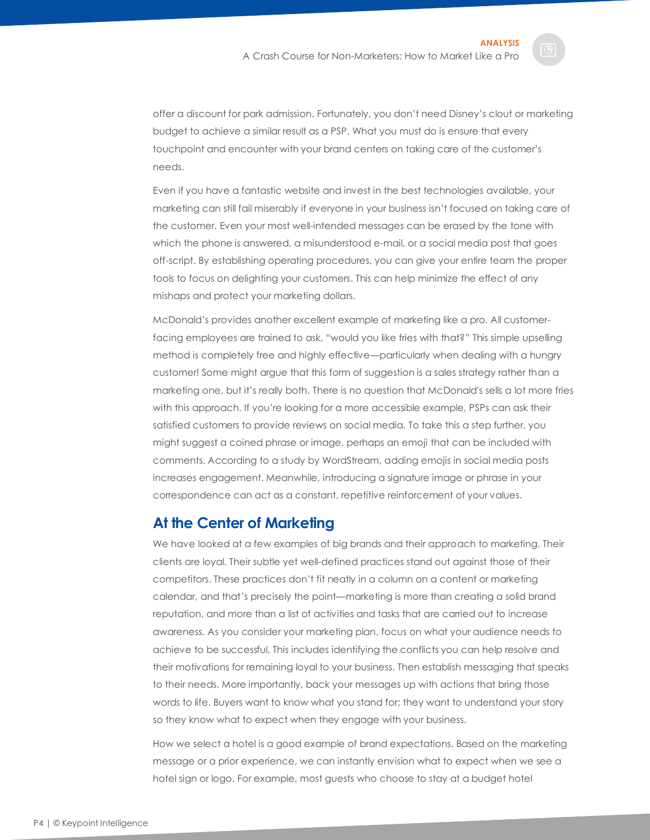offer a discount for park admission. Fortunately, you don't need Disney's clout or marketing budget to achieve a similar result as a PSP. What you must do is ensure that every touchpoint and encounter with your brand centers on taking care of the customer's needs.

Even if you have a fantastic website and invest in the best technologies available, your marketing can still fail miserably if everyone in your business isn't focused on taking care of the customer. Even your most well-intended messages can be erased by the tone with which the phone is answered, a misunderstood e-mail, or a social media post that goes off-script. By establishing operating procedures, you can give your entire team the proper tools to focus on delighting your customers. This can help minimize the effect of any mishaps and protect your marketing dollars.

McDonald's provides another excellent example of marketing like a pro. All customerfacing employees are trained to ask, "would you like fries with that?" This simple upselling method is completely free and highly effective—particularly when dealing with a hungry customer! Some might argue that this form of suggestion is a sales strategy rather than a marketing one, but it's really both. There is no question that McDonald's sells a lot more fries with this approach. If you're looking for a more accessible example, PSPs can ask their satisfied customers to provide reviews on social media. To take this a step further, you might suggest a coined phrase or image, perhaps an emoji that can be included with comments. According to a study by WordStream, adding emojis in social media posts increases engagement. Meanwhile, introducing a signature image or phrase in your correspondence can act as a constant, repetitive reinforcement of your values.

#### <span id="page-4-0"></span>**At the Center of Marketing**

We have looked at a few examples of big brands and their approach to marketing. Their clients are loyal. Their subtle yet well-defined practices stand out against those of their competitors. These practices don't fit neatly in a column on a content or marketing calendar, and that's precisely the point—marketing is more than creating a solid brand reputation, and more than a list of activities and tasks that are carried out to increase awareness. As you consider your marketing plan, focus on what your audience needs to achieve to be successful. This includes identifying the conflicts you can help resolve and their motivations for remaining loyal to your business. Then establish messaging that speaks to their needs. More importantly, back your messages up with actions that bring those words to life. Buyers want to know what you stand for; they want to understand your story so they know what to expect when they engage with your business.

How we select a hotel is a good example of brand expectations. Based on the marketing message or a prior experience, we can instantly envision what to expect when we see a hotel sign or logo. For example, most guests who choose to stay at a budget hotel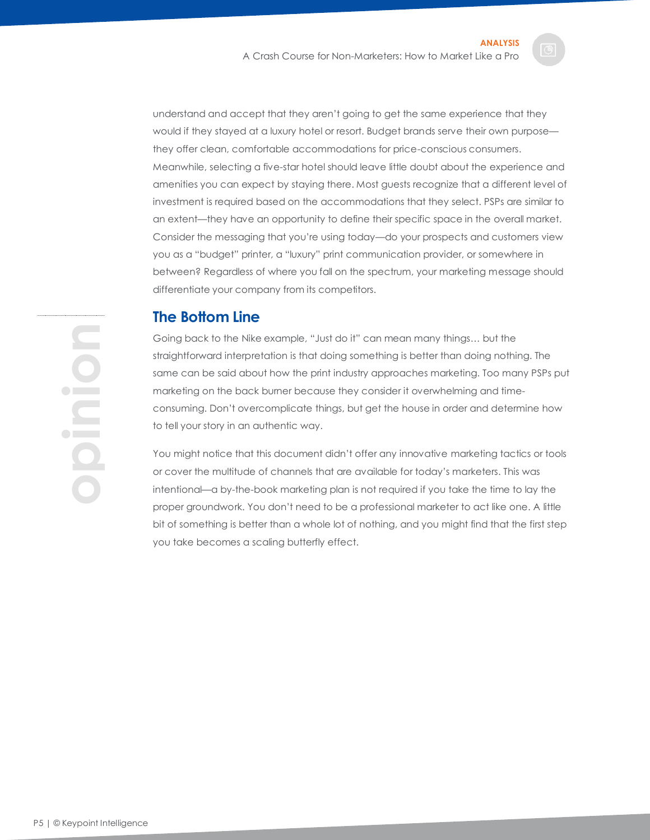understand and accept that they aren't going to get the same experience that they would if they stayed at a luxury hotel or resort. Budget brands serve their own purpose they offer clean, comfortable accommodations for price-conscious consumers. Meanwhile, selecting a five-star hotel should leave little doubt about the experience and amenities you can expect by staying there. Most guests recognize that a different level of investment is required based on the accommodations that they select. PSPs are similar to an extent—they have an opportunity to define their specific space in the overall market. Consider the messaging that you're using today—do your prospects and customers view you as a "budget" printer, a "luxury" print communication provider, or somewhere in between? Regardless of where you fall on the spectrum, your marketing message should differentiate your company from its competitors.

#### <span id="page-5-0"></span>**The Bottom Line**

Going back to the Nike example, "Just do it" can mean many things… but the straightforward interpretation is that doing something is better than doing nothing. The same can be said about how the print industry approaches marketing. Too many PSPs put marketing on the back burner because they consider it overwhelming and timeconsuming. Don't overcomplicate things, but get the house in order and determine how to tell your story in an authentic way.

You might notice that this document didn't offer any innovative marketing tactics or tools or cover the multitude of channels that are available for today's marketers. This was intentional—a by-the-book marketing plan is not required if you take the time to lay the proper groundwork. You don't need to be a professional marketer to act like one. A little bit of something is better than a whole lot of nothing, and you might find that the first step you take becomes a scaling butterfly effect.

**opinion**